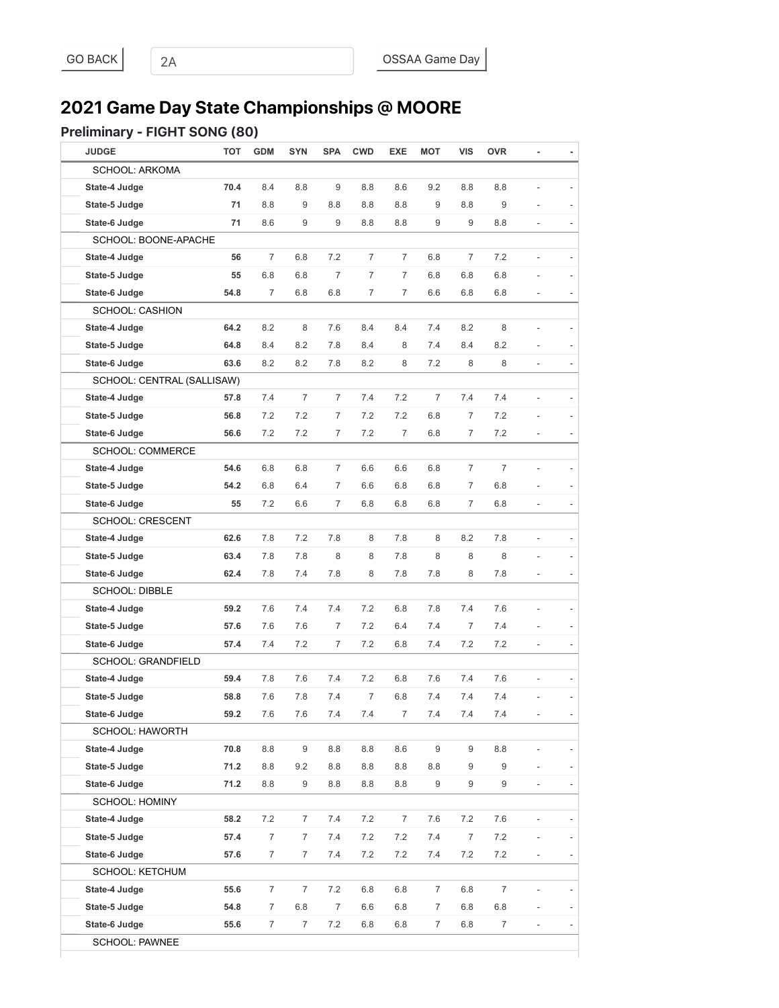# **2021 Game Day State Championships @ MOORE**

#### Preliminary - FIGHT SONG (80)

| <b>JUDGE</b>               | <b>TOT</b> | <b>GDM</b>     | <b>SYN</b>       | <b>SPA</b>     | <b>CWD</b>     | <b>EXE</b>     | <b>MOT</b>       | <b>VIS</b>       | <b>OVR</b>     | ٠                        |  |
|----------------------------|------------|----------------|------------------|----------------|----------------|----------------|------------------|------------------|----------------|--------------------------|--|
| <b>SCHOOL: ARKOMA</b>      |            |                |                  |                |                |                |                  |                  |                |                          |  |
| State-4 Judge              | 70.4       | 8.4            | 8.8              | 9              | 8.8            | 8.6            | 9.2              | 8.8              | 8.8            |                          |  |
| State-5 Judge              | 71         | 8.8            | 9                | 8.8            | 8.8            | 8.8            | 9                | 8.8              | 9              |                          |  |
| State-6 Judge              | 71         | 8.6            | 9                | 9              | 8.8            | 8.8            | 9                | 9                | 8.8            | $\overline{a}$           |  |
| SCHOOL: BOONE-APACHE       |            |                |                  |                |                |                |                  |                  |                |                          |  |
| State-4 Judge              | 56         | $\overline{7}$ | 6.8              | 7.2            | 7              | 7              | 6.8              | $\overline{7}$   | 7.2            | $\overline{a}$           |  |
| State-5 Judge              | 55         | 6.8            | 6.8              | $\overline{7}$ | $\overline{7}$ | $\overline{7}$ | 6.8              | 6.8              | 6.8            |                          |  |
| State-6 Judge              | 54.8       | $\overline{7}$ | 6.8              | 6.8            | 7              | $\overline{7}$ | 6.6              | 6.8              | 6.8            |                          |  |
| <b>SCHOOL: CASHION</b>     |            |                |                  |                |                |                |                  |                  |                |                          |  |
| State-4 Judge              | 64.2       | 8.2            | 8                | 7.6            | 8.4            | 8.4            | 7.4              | 8.2              | 8              |                          |  |
| State-5 Judge              | 64.8       | 8.4            | 8.2              | 7.8            | 8.4            | 8              | 7.4              | 8.4              | 8.2            |                          |  |
| State-6 Judge              | 63.6       | 8.2            | 8.2              | 7.8            | 8.2            | 8              | 7.2              | 8                | 8              | $\overline{a}$           |  |
| SCHOOL: CENTRAL (SALLISAW) |            |                |                  |                |                |                |                  |                  |                |                          |  |
| State-4 Judge              | 57.8       | 7.4            | 7                | $\overline{7}$ | 7.4            | 7.2            | $\overline{7}$   | 7.4              | 7.4            | $\overline{a}$           |  |
| State-5 Judge              | 56.8       | 7.2            | 7.2              | 7              | 7.2            | 7.2            | 6.8              | 7                | 7.2            |                          |  |
| State-6 Judge              | 56.6       | 7.2            | 7.2              | 7              | 7.2            | $\overline{7}$ | 6.8              | 7                | 7.2            | $\overline{\phantom{m}}$ |  |
| <b>SCHOOL: COMMERCE</b>    |            |                |                  |                |                |                |                  |                  |                |                          |  |
| State-4 Judge              | 54.6       | 6.8            | 6.8              | $\overline{7}$ | 6.6            | 6.6            | 6.8              | $\overline{7}$   | 7              |                          |  |
| State-5 Judge              | 54.2       | 6.8            | 6.4              | 7              | 6.6            | 6.8            | 6.8              | 7                | 6.8            |                          |  |
| State-6 Judge              | 55         | 7.2            | 6.6              | 7              | 6.8            | 6.8            | 6.8              | 7                | 6.8            | ä,                       |  |
| <b>SCHOOL: CRESCENT</b>    |            |                |                  |                |                |                |                  |                  |                |                          |  |
| State-4 Judge              | 62.6       | 7.8            | 7.2              | 7.8            | 8              | 7.8            | 8                | 8.2              | 7.8            |                          |  |
| State-5 Judge              | 63.4       | 7.8            | 7.8              | 8              | 8              | 7.8            | 8                | 8                | 8              |                          |  |
| State-6 Judge              | 62.4       | 7.8            | 7.4              | 7.8            | 8              | 7.8            | 7.8              | 8                | 7.8            | $\overline{a}$           |  |
| <b>SCHOOL: DIBBLE</b>      |            |                |                  |                |                |                |                  |                  |                |                          |  |
| State-4 Judge              | 59.2       | 7.6            | 7.4              | 7.4            | 7.2            | 6.8            | 7.8              | 7.4              | 7.6            |                          |  |
| State-5 Judge              | 57.6       | 7.6            | 7.6              | $\overline{7}$ | 7.2            | 6.4            | 7.4              | 7                | 7.4            | $\overline{a}$           |  |
| State-6 Judge              | 57.4       | 7.4            | 7.2              | 7              | 7.2            | 6.8            | 7.4              | 7.2              | 7.2            | $\overline{a}$           |  |
| <b>SCHOOL: GRANDFIELD</b>  |            |                |                  |                |                |                |                  |                  |                |                          |  |
| State-4 Judge              | 59.4       | 7.8            | 7.6              | 7.4            | 7.2            | 6.8            | 7.6              | 7.4              | 7.6            | $\overline{a}$           |  |
| State-5 Judge              | 58.8       | 7.6            | 7.8              | 7.4            | $\overline{7}$ | 6.8            | 7.4              | 7.4              | 7.4            |                          |  |
| State-6 Judge              | 59.2       | 7.6            | 7.6              | 7.4            | 7.4            |                | 7.4              | 7.4              | $7.4\,$        |                          |  |
| SCHOOL: HAWORTH            |            |                |                  |                |                |                |                  |                  |                |                          |  |
| State-4 Judge              | 70.8       | 8.8            | $\boldsymbol{9}$ | 8.8            | $8.8\,$        | 8.6            | $\boldsymbol{9}$ | $\boldsymbol{9}$ | 8.8            |                          |  |
| State-5 Judge              | 71.2       | 8.8            | 9.2              | 8.8            | 8.8            | 8.8            | 8.8              | 9                | 9              |                          |  |
| State-6 Judge              | 71.2       | 8.8            | 9                | 8.8            | 8.8            | 8.8            | 9                | 9                | 9              | $\overline{a}$           |  |
| <b>SCHOOL: HOMINY</b>      |            |                |                  |                |                |                |                  |                  |                |                          |  |
| State-4 Judge              | 58.2       | 7.2            | $\overline{7}$   | 7.4            | $7.2\,$        | $\overline{7}$ | $7.6\,$          | 7.2              | 7.6            | $\frac{1}{2}$            |  |
| State-5 Judge              | 57.4       | $\overline{7}$ | 7                | 7.4            | 7.2            | 7.2            | 7.4              | $\overline{7}$   | 7.2            | $\overline{\phantom{0}}$ |  |
| State-6 Judge              | 57.6       | $\overline{7}$ | 7                | 7.4            | 7.2            | 7.2            | 7.4              | 7.2              | 7.2            | $\overline{\phantom{a}}$ |  |
| <b>SCHOOL: KETCHUM</b>     |            |                |                  |                |                |                |                  |                  |                |                          |  |
| State-4 Judge              | 55.6       | $\overline{7}$ | 7                | 7.2            | $6.8\,$        | 6.8            | $\overline{7}$   | $6.8\,$          | $\overline{7}$ |                          |  |
| State-5 Judge              | 54.8       | 7              | $6.8\,$          | $\overline{7}$ | 6.6            | $6.8\,$        | $\overline{7}$   | $6.8\,$          | 6.8            |                          |  |
| State-6 Judge              | 55.6       | $\overline{7}$ | $\overline{7}$   | 7.2            | 6.8            | 6.8            | $\overline{7}$   | $6.8\,$          | $\overline{7}$ | $\overline{\phantom{0}}$ |  |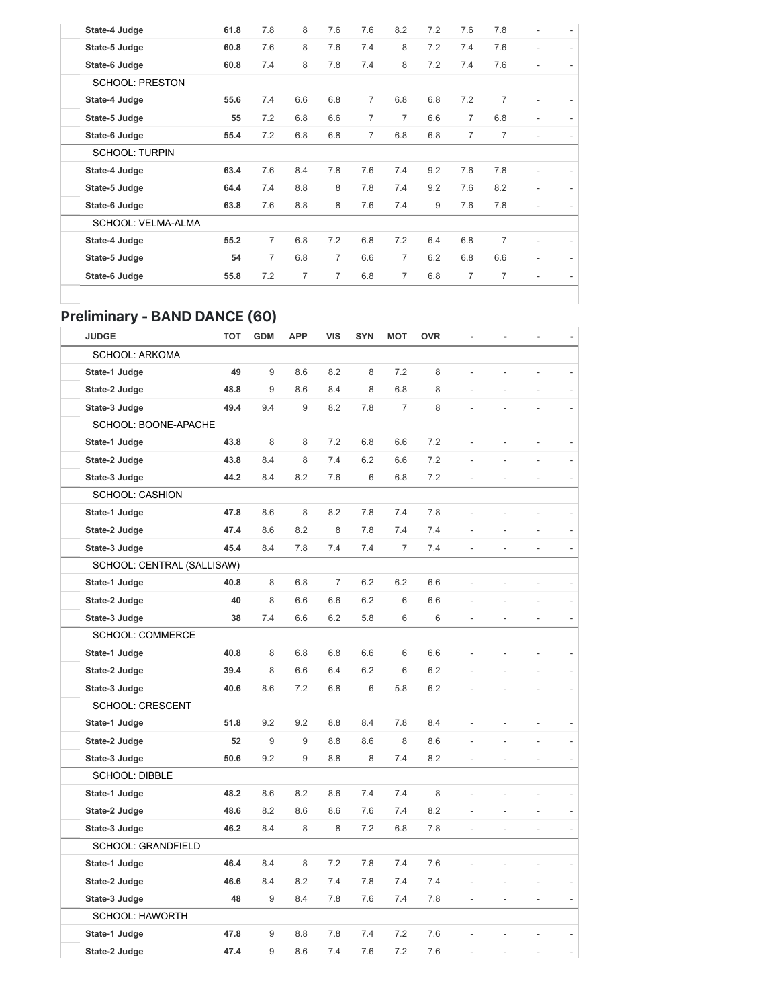| State-4 Judge          | 61.8 | 7.8            | 8   | 7.6 | 7.6            | 8.2            | 7.2 | 7.6            | 7.8            |   |   |
|------------------------|------|----------------|-----|-----|----------------|----------------|-----|----------------|----------------|---|---|
| State-5 Judge          | 60.8 | 7.6            | 8   | 7.6 | 7.4            | 8              | 7.2 | 7.4            | 7.6            | ٠ | ٠ |
| State-6 Judge          | 60.8 | 7.4            | 8   | 7.8 | 7.4            | 8              | 7.2 | 7.4            | 7.6            |   |   |
| <b>SCHOOL: PRESTON</b> |      |                |     |     |                |                |     |                |                |   |   |
| State-4 Judge          | 55.6 | 7.4            | 6.6 | 6.8 | $\overline{7}$ | 6.8            | 6.8 | 7.2            | $\overline{7}$ |   |   |
| State-5 Judge          | 55   | 7.2            | 6.8 | 6.6 | $\overline{7}$ | $\overline{7}$ | 6.6 | $\overline{7}$ | 6.8            |   |   |
| State-6 Judge          | 55.4 | 7.2            | 6.8 | 6.8 | $\overline{7}$ | 6.8            | 6.8 | $\overline{7}$ | $\overline{7}$ |   |   |
| <b>SCHOOL: TURPIN</b>  |      |                |     |     |                |                |     |                |                |   |   |
| State-4 Judge          | 63.4 | 7.6            | 8.4 | 7.8 | 7.6            | 7.4            | 9.2 | 7.6            | 7.8            |   |   |
| State-5 Judge          | 64.4 | 7.4            | 8.8 | 8   | 7.8            | 7.4            | 9.2 | 7.6            | 8.2            | ٠ |   |
| State-6 Judge          | 63.8 | 7.6            | 8.8 | 8   | 7.6            | 7.4            | 9   | 7.6            | 7.8            |   |   |
| SCHOOL: VELMA-ALMA     |      |                |     |     |                |                |     |                |                |   |   |
| State-4 Judge          | 55.2 | $\overline{7}$ | 6.8 | 7.2 | 6.8            | 7.2            | 6.4 | 6.8            | 7              |   |   |
| State-5 Judge          | 54   | $\overline{7}$ | 6.8 | 7   | 6.6            | $\overline{7}$ | 6.2 | 6.8            | 6.6            |   |   |
| State-6 Judge          | 55.8 | 7.2            | 7   | 7   | 6.8            | $\overline{7}$ | 6.8 | $\overline{7}$ | $\overline{7}$ |   |   |
|                        |      |                |     |     |                |                |     |                |                |   |   |

#### Preliminary - BAND DANCE (60)

| <b>JUDGE</b>               | <b>TOT</b> | <b>GDM</b> | <b>APP</b> | <b>VIS</b>     | <b>SYN</b> | <b>MOT</b>     | <b>OVR</b> |                | ä,             |                          |                |
|----------------------------|------------|------------|------------|----------------|------------|----------------|------------|----------------|----------------|--------------------------|----------------|
| <b>SCHOOL: ARKOMA</b>      |            |            |            |                |            |                |            |                |                |                          |                |
| State-1 Judge              | 49         | 9          | 8.6        | 8.2            | 8          | 7.2            | 8          |                |                |                          |                |
| State-2 Judge              | 48.8       | 9          | 8.6        | 8.4            | 8          | 6.8            | 8          |                |                |                          |                |
| State-3 Judge              | 49.4       | 9.4        | 9          | 8.2            | 7.8        | $\overline{7}$ | 8          |                |                | L.                       |                |
| SCHOOL: BOONE-APACHE       |            |            |            |                |            |                |            |                |                |                          |                |
| State-1 Judge              | 43.8       | 8          | 8          | 7.2            | 6.8        | 6.6            | 7.2        | $\overline{a}$ |                | L,                       |                |
| State-2 Judge              | 43.8       | 8.4        | 8          | 7.4            | 6.2        | 6.6            | 7.2        |                |                |                          |                |
| State-3 Judge              | 44.2       | 8.4        | 8.2        | 7.6            | 6          | 6.8            | 7.2        |                |                |                          |                |
| <b>SCHOOL: CASHION</b>     |            |            |            |                |            |                |            |                |                |                          |                |
| State-1 Judge              | 47.8       | 8.6        | 8          | 8.2            | 7.8        | 7.4            | 7.8        |                |                |                          |                |
| State-2 Judge              | 47.4       | 8.6        | 8.2        | 8              | 7.8        | 7.4            | 7.4        |                |                |                          |                |
| State-3 Judge              | 45.4       | 8.4        | 7.8        | 7.4            | 7.4        | $\overline{7}$ | 7.4        |                |                | $\frac{1}{2}$            |                |
| SCHOOL: CENTRAL (SALLISAW) |            |            |            |                |            |                |            |                |                |                          |                |
| State-1 Judge              | 40.8       | 8          | 6.8        | $\overline{7}$ | 6.2        | 6.2            | 6.6        | $\overline{a}$ | $\overline{a}$ | $\frac{1}{2}$            |                |
| State-2 Judge              | 40         | 8          | 6.6        | 6.6            | 6.2        | 6              | 6.6        |                |                |                          |                |
| State-3 Judge              | 38         | 7.4        | 6.6        | 6.2            | 5.8        | 6              | 6          |                |                |                          | $\overline{a}$ |
| <b>SCHOOL: COMMERCE</b>    |            |            |            |                |            |                |            |                |                |                          |                |
| State-1 Judge              | 40.8       | 8          | 6.8        | 6.8            | 6.6        | 6              | 6.6        |                |                |                          |                |
| State-2 Judge              | 39.4       | 8          | 6.6        | 6.4            | 6.2        | 6              | 6.2        |                |                |                          |                |
| State-3 Judge              | 40.6       | 8.6        | 7.2        | 6.8            | 6          | 5.8            | 6.2        |                |                |                          |                |
| SCHOOL: CRESCENT           |            |            |            |                |            |                |            |                |                |                          |                |
| State-1 Judge              | 51.8       | 9.2        | 9.2        | 8.8            | 8.4        | 7.8            | 8.4        |                |                | L,                       |                |
| State-2 Judge              | 52         | 9          | 9          | 8.8            | 8.6        | 8              | 8.6        |                |                |                          |                |
| State-3 Judge              | 50.6       | 9.2        | 9          | 8.8            | 8          | 7.4            | 8.2        |                |                | $\overline{\phantom{a}}$ |                |
| <b>SCHOOL: DIBBLE</b>      |            |            |            |                |            |                |            |                |                |                          |                |
| State-1 Judge              | 48.2       | 8.6        | 8.2        | 8.6            | 7.4        | 7.4            | 8          |                |                |                          |                |
| State-2 Judge              | 48.6       | 8.2        | 8.6        | 8.6            | 7.6        | 7.4            | 8.2        |                |                |                          |                |
| State-3 Judge              | 46.2       | 8.4        | 8          | 8              | 7.2        | 6.8            | 7.8        |                |                | $\overline{\phantom{a}}$ |                |
| SCHOOL: GRANDFIELD         |            |            |            |                |            |                |            |                |                |                          |                |
| State-1 Judge              | 46.4       | 8.4        | 8          | 7.2            | 7.8        | 7.4            | 7.6        |                |                | $\frac{1}{2}$            |                |
| State-2 Judge              | 46.6       | 8.4        | 8.2        | 7.4            | 7.8        | 7.4            | 7.4        |                |                |                          |                |
| State-3 Judge              | 48         | 9          | 8.4        | 7.8            | 7.6        | 7.4            | 7.8        |                |                |                          |                |
| <b>SCHOOL: HAWORTH</b>     |            |            |            |                |            |                |            |                |                |                          |                |
| State-1 Judge              | 47.8       | 9          | 8.8        | 7.8            | 7.4        | 7.2            | 7.6        |                |                |                          |                |
| State-2 Judge              | 47.4       | 9          | 8.6        | 7.4            | 7.6        | 7.2            | 7.6        |                |                |                          |                |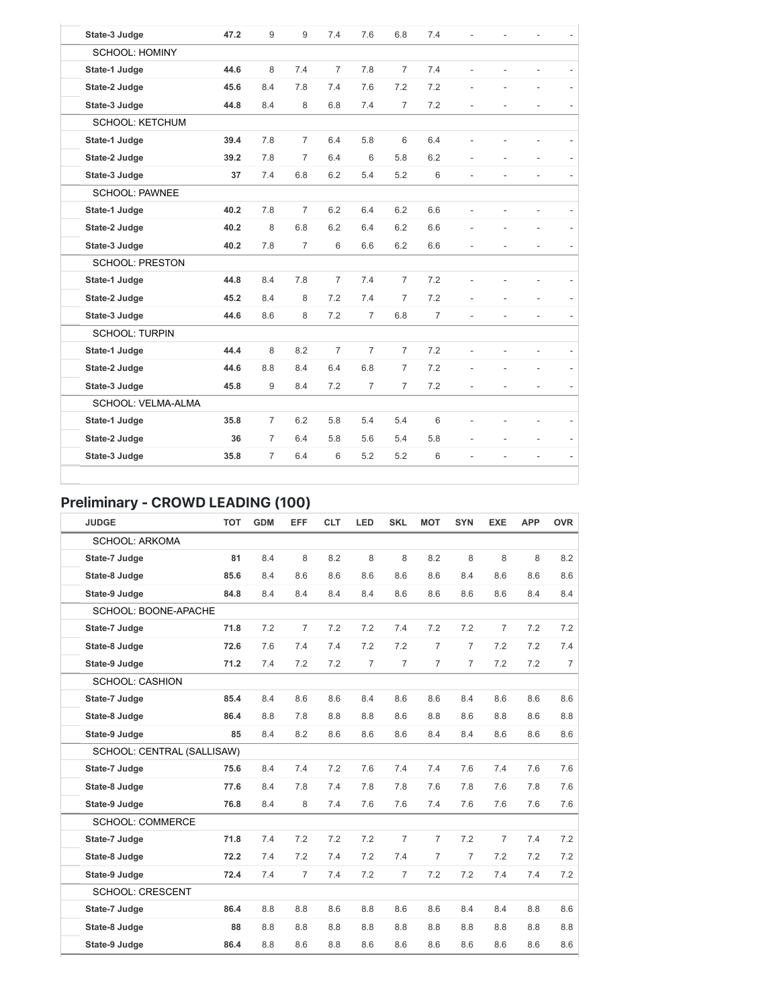| State-3 Judge          | 47.2 | 9              | 9              | 7.4            | 7.6            | 6.8            | 7.4            |                          |    |                          |  |
|------------------------|------|----------------|----------------|----------------|----------------|----------------|----------------|--------------------------|----|--------------------------|--|
| <b>SCHOOL: HOMINY</b>  |      |                |                |                |                |                |                |                          |    |                          |  |
| State-1 Judge          | 44.6 | 8              | 7.4            | $\overline{7}$ | 7.8            | $\overline{7}$ | 7.4            |                          |    | ÷                        |  |
| State-2 Judge          | 45.6 | 8.4            | 7.8            | 7.4            | 7.6            | 7.2            | 7.2            |                          |    | ÷.                       |  |
| State-3 Judge          | 44.8 | 8.4            | 8              | 6.8            | 7.4            | $\overline{7}$ | 7.2            | $\overline{\phantom{a}}$ | ÷, | $\overline{\phantom{m}}$ |  |
| <b>SCHOOL: KETCHUM</b> |      |                |                |                |                |                |                |                          |    |                          |  |
| State-1 Judge          | 39.4 | 7.8            | $\overline{7}$ | 6.4            | 5.8            | 6              | 6.4            |                          |    |                          |  |
| State-2 Judge          | 39.2 | 7.8            | $\overline{7}$ | 6.4            | 6              | 5.8            | 6.2            |                          |    |                          |  |
| State-3 Judge          | 37   | 7.4            | 6.8            | 6.2            | 5.4            | 5.2            | 6              | $\overline{a}$           |    | ÷.                       |  |
| <b>SCHOOL: PAWNEE</b>  |      |                |                |                |                |                |                |                          |    |                          |  |
| State-1 Judge          | 40.2 | 7.8            | $\overline{7}$ | 6.2            | 6.4            | 6.2            | 6.6            |                          |    |                          |  |
| State-2 Judge          | 40.2 | 8              | 6.8            | 6.2            | 6.4            | 6.2            | 6.6            |                          |    | L.                       |  |
| State-3 Judge          | 40.2 | 7.8            | $\overline{7}$ | 6              | 6.6            | 6.2            | 6.6            |                          |    | $\overline{a}$           |  |
| <b>SCHOOL: PRESTON</b> |      |                |                |                |                |                |                |                          |    |                          |  |
| State-1 Judge          | 44.8 | 8.4            | 7.8            | $\overline{7}$ | 7.4            | $\overline{7}$ | 7.2            |                          |    |                          |  |
| State-2 Judge          | 45.2 | 8.4            | 8              | 7.2            | 7.4            | $\overline{7}$ | 7.2            |                          |    | $\overline{a}$           |  |
| State-3 Judge          | 44.6 | 8.6            | 8              | 7.2            | $\overline{7}$ | 6.8            | $\overline{7}$ | ÷.                       | L. | L.                       |  |
| <b>SCHOOL: TURPIN</b>  |      |                |                |                |                |                |                |                          |    |                          |  |
| State-1 Judge          | 44.4 | 8              | 8.2            | $\overline{7}$ | $\overline{7}$ | $\overline{7}$ | 7.2            |                          |    |                          |  |
| State-2 Judge          | 44.6 | 8.8            | 8.4            | 6.4            | 6.8            | $\overline{7}$ | 7.2            |                          |    |                          |  |
| State-3 Judge          | 45.8 | 9              | 8.4            | 7.2            | $\overline{7}$ | $\overline{7}$ | 7.2            |                          | ä, | $\overline{\phantom{a}}$ |  |
| SCHOOL: VELMA-ALMA     |      |                |                |                |                |                |                |                          |    |                          |  |
| State-1 Judge          | 35.8 | $\overline{7}$ | 6.2            | 5.8            | 5.4            | 5.4            | 6              |                          |    |                          |  |
| State-2 Judge          | 36   | $\overline{7}$ | 6.4            | 5.8            | 5.6            | 5.4            | 5.8            |                          |    | $\overline{a}$           |  |
| State-3 Judge          | 35.8 | $\overline{7}$ | 6.4            | 6              | 5.2            | 5.2            | 6              | $\overline{\phantom{a}}$ | L. | $\overline{a}$           |  |

# Preliminary - CROWD LEADING (100)

| <b>JUDGE</b>               | <b>TOT</b> | <b>GDM</b> | EFF            | <b>CLT</b> | LED | <b>SKL</b>     | <b>MOT</b>     | <b>SYN</b>     | <b>EXE</b>     | <b>APP</b> | <b>OVR</b>     |
|----------------------------|------------|------------|----------------|------------|-----|----------------|----------------|----------------|----------------|------------|----------------|
| <b>SCHOOL: ARKOMA</b>      |            |            |                |            |     |                |                |                |                |            |                |
| State-7 Judge              | 81         | 8.4        | 8              | 8.2        | 8   | 8              | 8.2            | 8              | 8              | 8          | 8.2            |
| State-8 Judge              | 85.6       | 8.4        | 8.6            | 8.6        | 8.6 | 8.6            | 8.6            | 8.4            | 8.6            | 8.6        | 8.6            |
| State-9 Judge              | 84.8       | 8.4        | 8.4            | 8.4        | 8.4 | 8.6            | 8.6            | 8.6            | 8.6            | 8.4        | 8.4            |
| SCHOOL: BOONE-APACHE       |            |            |                |            |     |                |                |                |                |            |                |
| State-7 Judge              | 71.8       | 7.2        | 7              | 7.2        | 7.2 | 7.4            | 7.2            | 7.2            | $\overline{7}$ | 7.2        | 7.2            |
| State-8 Judge              | 72.6       | 7.6        | 7.4            | 7.4        | 7.2 | 7.2            | $\overline{7}$ | $\overline{7}$ | 7.2            | 7.2        | 7.4            |
| State-9 Judge              | 71.2       | 7.4        | 7.2            | 7.2        | 7   | $\overline{7}$ | $\overline{7}$ | $\overline{7}$ | 7.2            | 7.2        | $\overline{7}$ |
| <b>SCHOOL: CASHION</b>     |            |            |                |            |     |                |                |                |                |            |                |
| State-7 Judge              | 85.4       | 8.4        | 8.6            | 8.6        | 8.4 | 8.6            | 8.6            | 8.4            | 8.6            | 8.6        | 8.6            |
| State-8 Judge              | 86.4       | 8.8        | 7.8            | 8.8        | 8.8 | 8.6            | 8.8            | 8.6            | 8.8            | 8.6        | 8.8            |
| State-9 Judge              | 85         | 8.4        | 8.2            | 8.6        | 8.6 | 8.6            | 8.4            | 8.4            | 8.6            | 8.6        | 8.6            |
| SCHOOL: CENTRAL (SALLISAW) |            |            |                |            |     |                |                |                |                |            |                |
| State-7 Judge              | 75.6       | 8.4        | 7.4            | 7.2        | 7.6 | 7.4            | 7.4            | 7.6            | 7.4            | 7.6        | 7.6            |
| State-8 Judge              | 77.6       | 8.4        | 7.8            | 7.4        | 7.8 | 7.8            | 7.6            | 7.8            | 7.6            | 7.8        | 7.6            |
| State-9 Judge              | 76.8       | 8.4        | 8              | 7.4        | 7.6 | 7.6            | 7.4            | 7.6            | 7.6            | 7.6        | 7.6            |
| <b>SCHOOL: COMMERCE</b>    |            |            |                |            |     |                |                |                |                |            |                |
| State-7 Judge              | 71.8       | 7.4        | 7.2            | 7.2        | 7.2 | $\overline{7}$ | $\overline{7}$ | 7.2            | $\overline{7}$ | 7.4        | 7.2            |
| State-8 Judge              | 72.2       | 7.4        | 7.2            | 7.4        | 7.2 | 7.4            | $\overline{7}$ | $\overline{7}$ | 7.2            | 7.2        | 7.2            |
| State-9 Judge              | 72.4       | 7.4        | $\overline{7}$ | 7.4        | 7.2 | $\overline{7}$ | 7.2            | 7.2            | 7.4            | 7.4        | 7.2            |
| <b>SCHOOL: CRESCENT</b>    |            |            |                |            |     |                |                |                |                |            |                |
| State-7 Judge              | 86.4       | 8.8        | 8.8            | 8.6        | 8.8 | 8.6            | 8.6            | 8.4            | 8.4            | 8.8        | 8.6            |
| State-8 Judge              | 88         | 8.8        | 8.8            | 8.8        | 8.8 | 8.8            | 8.8            | 8.8            | 8.8            | 8.8        | 8.8            |
| State-9 Judge              | 86.4       | 8.8        | 8.6            | 8.8        | 8.6 | 8.6            | 8.6            | 8.6            | 8.6            | 8.6        | 8.6            |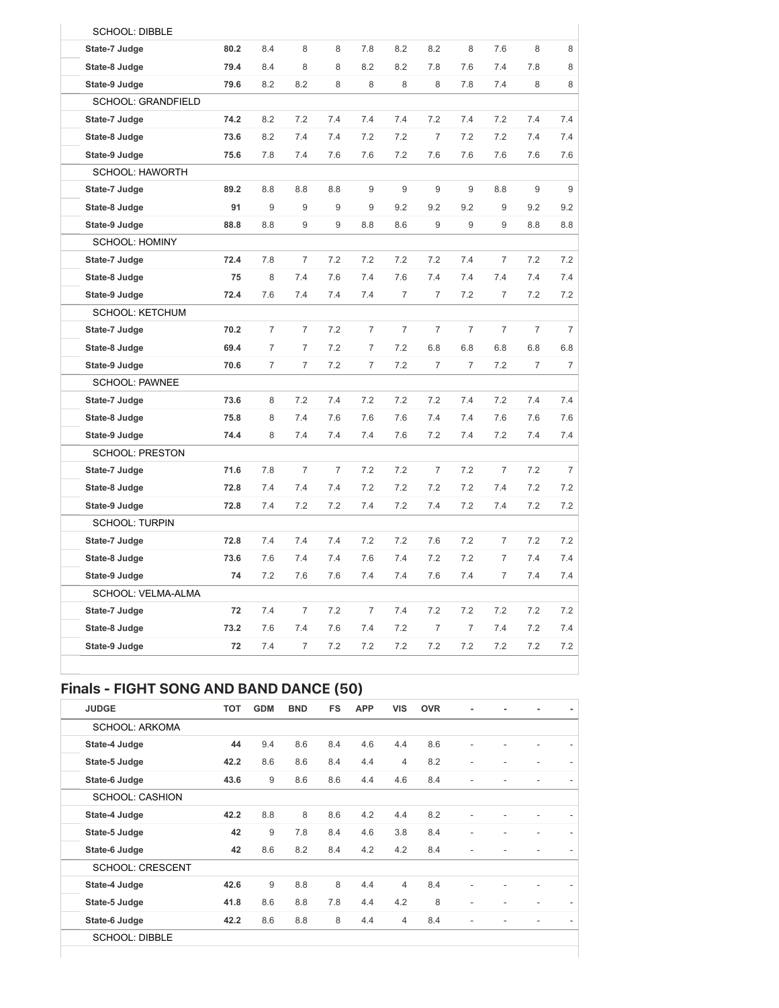| <b>SCHOOL: DIBBLE</b>     |      |                |                |                |                |                |                |                |                |                |                |
|---------------------------|------|----------------|----------------|----------------|----------------|----------------|----------------|----------------|----------------|----------------|----------------|
| State-7 Judge             | 80.2 | 8.4            | 8              | 8              | 7.8            | 8.2            | 8.2            | 8              | 7.6            | 8              | 8              |
| State-8 Judge             | 79.4 | 8.4            | 8              | 8              | 8.2            | 8.2            | 7.8            | 7.6            | 7.4            | 7.8            | 8              |
| State-9 Judge             | 79.6 | 8.2            | 8.2            | 8              | 8              | 8              | 8              | 7.8            | 7.4            | 8              | 8              |
| <b>SCHOOL: GRANDFIELD</b> |      |                |                |                |                |                |                |                |                |                |                |
| State-7 Judge             | 74.2 | 8.2            | 7.2            | 7.4            | 7.4            | 7.4            | 7.2            | 7.4            | 7.2            | 7.4            | 7.4            |
| State-8 Judge             | 73.6 | 8.2            | 7.4            | 7.4            | 7.2            | 7.2            | $\overline{7}$ | 7.2            | 7.2            | 7.4            | 7.4            |
| State-9 Judge             | 75.6 | 7.8            | 7.4            | 7.6            | 7.6            | 7.2            | 7.6            | 7.6            | 7.6            | 7.6            | 7.6            |
| <b>SCHOOL: HAWORTH</b>    |      |                |                |                |                |                |                |                |                |                |                |
| State-7 Judge             | 89.2 | 8.8            | 8.8            | 8.8            | 9              | 9              | 9              | 9              | 8.8            | 9              | 9              |
| State-8 Judge             | 91   | 9              | 9              | 9              | 9              | 9.2            | 9.2            | 9.2            | 9              | 9.2            | 9.2            |
| State-9 Judge             | 88.8 | 8.8            | 9              | 9              | 8.8            | 8.6            | 9              | 9              | 9              | 8.8            | 8.8            |
| <b>SCHOOL: HOMINY</b>     |      |                |                |                |                |                |                |                |                |                |                |
| State-7 Judge             | 72.4 | 7.8            | $\overline{7}$ | 7.2            | 7.2            | 7.2            | 7.2            | 7.4            | $\overline{7}$ | 7.2            | 7.2            |
| State-8 Judge             | 75   | 8              | 7.4            | 7.6            | 7.4            | 7.6            | 7.4            | 7.4            | 7.4            | 7.4            | 7.4            |
| State-9 Judge             | 72.4 | 7.6            | 7.4            | 7.4            | 7.4            | $\overline{7}$ | $\overline{7}$ | 7.2            | 7              | 7.2            | 7.2            |
| <b>SCHOOL: KETCHUM</b>    |      |                |                |                |                |                |                |                |                |                |                |
| State-7 Judge             | 70.2 | 7              | $\overline{7}$ | 7.2            | 7              | 7              | 7              | $\overline{7}$ | $\overline{7}$ | 7              | 7              |
| State-8 Judge             | 69.4 | $\overline{7}$ | $\overline{7}$ | 7.2            | $\overline{7}$ | 7.2            | 6.8            | 6.8            | 6.8            | 6.8            | 6.8            |
| State-9 Judge             | 70.6 | $\overline{7}$ | $\overline{7}$ | 7.2            | $\overline{7}$ | 7.2            | $\overline{7}$ | $\overline{7}$ | 7.2            | $\overline{7}$ | $\overline{7}$ |
| <b>SCHOOL: PAWNEE</b>     |      |                |                |                |                |                |                |                |                |                |                |
| State-7 Judge             | 73.6 | 8              | 7.2            | 7.4            | 7.2            | 7.2            | 7.2            | 7.4            | 7.2            | 7.4            | 7.4            |
| State-8 Judge             | 75.8 | 8              | 7.4            | 7.6            | 7.6            | 7.6            | 7.4            | 7.4            | 7.6            | 7.6            | 7.6            |
| State-9 Judge             | 74.4 | 8              | 7.4            | 7.4            | 7.4            | 7.6            | 7.2            | 7.4            | 7.2            | 7.4            | 7.4            |
| <b>SCHOOL: PRESTON</b>    |      |                |                |                |                |                |                |                |                |                |                |
| State-7 Judge             | 71.6 | 7.8            | $\overline{7}$ | $\overline{7}$ | 7.2            | 7.2            | $\overline{7}$ | 7.2            | $\overline{7}$ | 7.2            | 7              |
| State-8 Judge             | 72.8 | 7.4            | 7.4            | 7.4            | 7.2            | 7.2            | 7.2            | 7.2            | 7.4            | 7.2            | 7.2            |
| State-9 Judge             | 72.8 | 7.4            | 7.2            | 7.2            | 7.4            | 7.2            | 7.4            | 7.2            | 7.4            | 7.2            | 7.2            |
| <b>SCHOOL: TURPIN</b>     |      |                |                |                |                |                |                |                |                |                |                |
| State-7 Judge             | 72.8 | 7.4            | 7.4            | 7.4            | 7.2            | 7.2            | 7.6            | 7.2            | 7              | 7.2            | 7.2            |
| State-8 Judge             | 73.6 | 7.6            | 7.4            | 7.4            | 7.6            | 7.4            | 7.2            | 7.2            | 7              | 7.4            | 7.4            |
| State-9 Judge             | 74   | 7.2            | 7.6            | 7.6            | 7.4            | 7.4            | 7.6            | 7.4            | $\overline{7}$ | 7.4            | 7.4            |
| SCHOOL: VELMA-ALMA        |      |                |                |                |                |                |                |                |                |                |                |
| State-7 Judge             | 72   | 7.4            | $\overline{7}$ | 7.2            | $\overline{7}$ | 7.4            | 7.2            | 7.2            | 7.2            | 7.2            | 7.2            |
| State-8 Judge             | 73.2 | 7.6            | 7.4            | 7.6            | 7.4            | 7.2            | 7              | $\overline{7}$ | 7.4            | 7.2            | 7.4            |
| State-9 Judge             | 72   | 7.4            | $\overline{7}$ | 7.2            | 7.2            | 7.2            | 7.2            | 7.2            | 7.2            | 7.2            | 7.2            |
|                           |      |                |                |                |                |                |                |                |                |                |                |

### Finals - FIGHT SONG AND BAND DANCE (50)

| <b>JUDGE</b>            | <b>TOT</b> | <b>GDM</b> | <b>BND</b> | <b>FS</b> | <b>APP</b> | <b>VIS</b>     | <b>OVR</b> | ٠              |  |  |
|-------------------------|------------|------------|------------|-----------|------------|----------------|------------|----------------|--|--|
| <b>SCHOOL: ARKOMA</b>   |            |            |            |           |            |                |            |                |  |  |
| State-4 Judge           | 44         | 9.4        | 8.6        | 8.4       | 4.6        | 4.4            | 8.6        | $\overline{a}$ |  |  |
| State-5 Judge           | 42.2       | 8.6        | 8.6        | 8.4       | 4.4        | $\overline{4}$ | 8.2        | $\overline{a}$ |  |  |
| State-6 Judge           | 43.6       | 9          | 8.6        | 8.6       | 4.4        | 4.6            | 8.4        | $\overline{a}$ |  |  |
| <b>SCHOOL: CASHION</b>  |            |            |            |           |            |                |            |                |  |  |
| State-4 Judge           | 42.2       | 8.8        | 8          | 8.6       | 4.2        | 4.4            | 8.2        | $\overline{a}$ |  |  |
| State-5 Judge           | 42         | 9          | 7.8        | 8.4       | 4.6        | 3.8            | 8.4        | ۳              |  |  |
| State-6 Judge           | 42         | 8.6        | 8.2        | 8.4       | 4.2        | 4.2            | 8.4        |                |  |  |
| <b>SCHOOL: CRESCENT</b> |            |            |            |           |            |                |            |                |  |  |
| State-4 Judge           | 42.6       | 9          | 8.8        | 8         | 4.4        | $\overline{4}$ | 8.4        | $\overline{a}$ |  |  |
| State-5 Judge           | 41.8       | 8.6        | 8.8        | 7.8       | 4.4        | 4.2            | 8          | ٠              |  |  |
| State-6 Judge           | 42.2       | 8.6        | 8.8        | 8         | 4.4        | $\overline{4}$ | 8.4        |                |  |  |
| $OMIOM$ DIDDLE          |            |            |            |           |            |                |            |                |  |  |

SCHOOL: DIBBLE